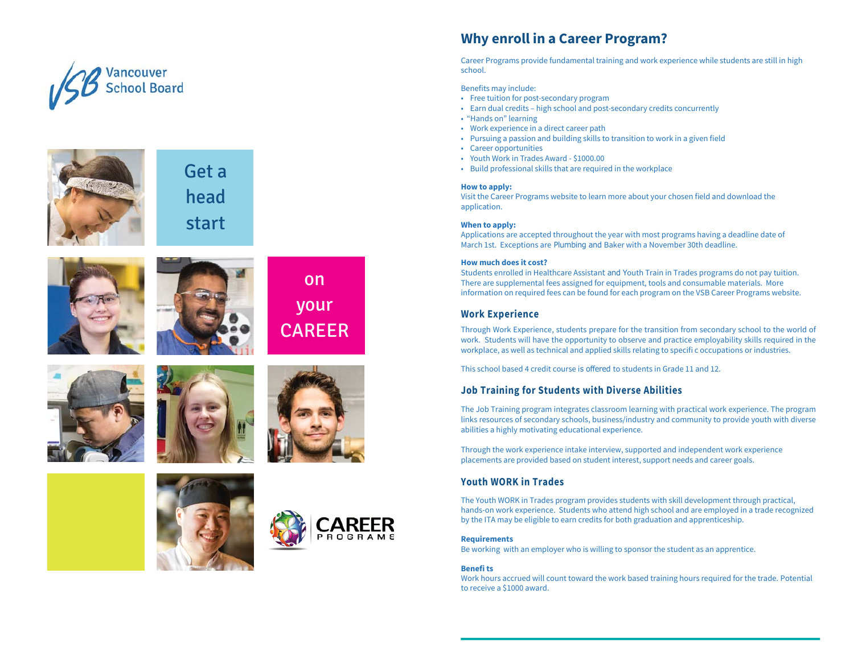



Get a head start







![](_page_0_Picture_6.jpeg)

![](_page_0_Picture_7.jpeg)

![](_page_0_Picture_8.jpeg)

![](_page_0_Picture_9.jpeg)

# **Why enroll in a Career Program?**

Career Programs provide fundamental training and work experience while students are still in high school.

Benefits may include:

- Free tuition for post-secondary program
- Earn dual credits high school and post-secondary credits concurrently
- "Hands on" learning
- Work experience in a direct career path
- Pursuing a passion and building skills to transition to work in a given field
- Career opportunities
- Youth Work in Trades Award \$1000.00
- Build professional skills that are required in the workplace

#### **How to apply:**

 Visit the Career Programs website to learn more about your chosen field and download the application.

#### **When to apply:**

 Applications are accepted throughout the year with most programs having a deadline date of March 1st. Exceptions are Plumbing and Baker with a November 30th deadline.

### **How much does it cost?**

Students enrolled in Healthcare Assistant and Youth Train in Trades programs do not pay tuition. There are supplemental fees assigned for equipment, tools and consumable materials. More information on required fees can be found for each program on the VSB Career Programs website.

# **Work Experience**

Through Work Experience, students prepare for the transition from secondary school to the world of work. Students will have the opportunity to observe and practice employability skills required in the workplace, as well as technical and applied skills relating to specifi c occupations or industries.

This school based 4 credit course is offered to students in Grade 11 and 12.

# **Job Training for Students with Diverse Abilities**

The Job Training program integrates classroom learning with practical work experience. The program links resources of secondary schools, business/industry and community to provide youth with diverse abilities a highly motivating educational experience.

Through the work experience intake interview, supported and independent work experience placements are provided based on student interest, support needs and career goals.

# **Youth WORK in Trades**

The Youth WORK in Trades program provides students with skill development through practical, hands-on work experience. Students who attend high school and are employed in a trade recognized by the ITA may be eligible to earn credits for both graduation and apprenticeship.

#### **Requirements**

Be working with an employer who is willing to sponsor the student as an apprentice.

### **Benefi ts**

 Work hours accrued will count toward the work based training hours required for the trade. Potential to receive a \$1000 award.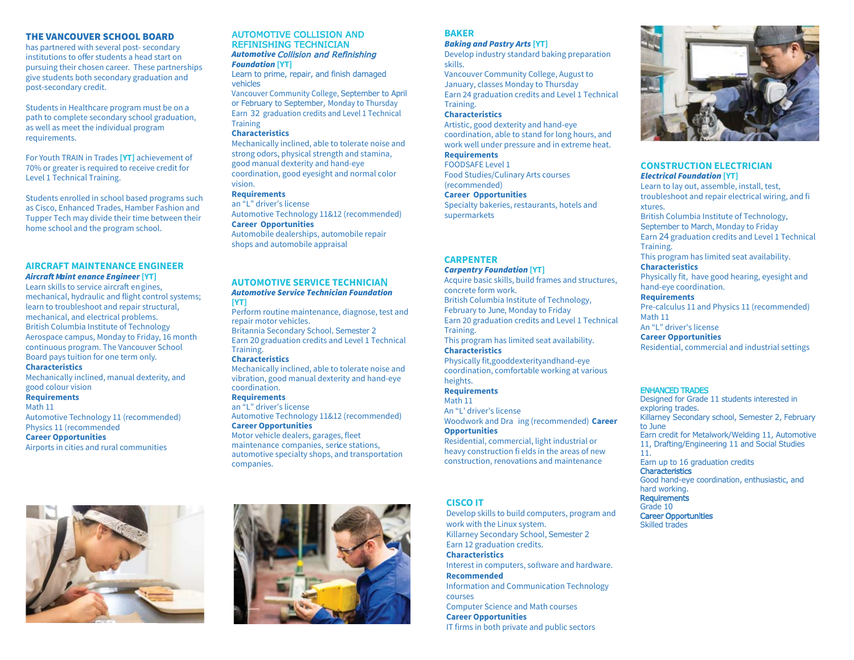#### THE VANCOUVER SCHOOL BOARD

 has partnered with several post- secondary institutions to offer students a head start on pursuing their chosen career. These partnerships give students both secondary graduation and post-secondary credit.

Students in Healthcare program must be on a path to complete secondary school graduation, as well as meet the individual program requirements.

For Youth TRAIN in Trades **[YT]** achievement of 70% or greater is required to receive credit for Level 1 Technical Training.

Students enrolled in school based programs such as Cisco, Enhanced Trades, Hamber Fashion and Tupper Tech may divide their time between their home school and the program school.

# **AIRCRAFT MAINTENANCE ENGINEER** *Aircraft Maint enance Engineer* **[YT]**

 Learn skills to service aircraft engines, mechanical, hydraulic and flight control systems; learn to troubleshoot and repair structural, mechanical, and electrical problems. British Columbia Institute of Technology Aerospace campus, Monday to Friday, 16 month continuous program. The Vancouver School Board pays tuition for one term only.

# **Characteristics**

 Mechanically inclined, manual dexterity, and good colour vision

#### **Requirements**

Math 11

 Automotive Technology 11 (recommended)Physics 11 (recommended

### **Career Opportunities**

Airports in cities and rural communities

# AUTOMOTIVE COLLISION AND REFINISHING TECHNICIAN*Automotive*Collision and Refinishing

*Foundation* **[YT]** Learn to prime, repair, and finish damaged vehicles

 Vancouver Community College, September to Aprilor February to September, Monday to Thursday Earn <sup>32</sup> graduation credits and Level 1 Technical **Training** 

#### **Characteristics**

 Mechanically inclined, able to tolerate noise and strong odors, physical strength and stamina, good manual dexterity and hand-eye coordination, good eyesight and normal color vision.

# **Requirements**

 an "L" driver's license Automotive Technology 11&12 (recommended)**Career Opportunities**  Automobile dealerships, automobile repair shops and automobile appraisal

# **AUTOMOTIVE SERVICE TECHNICIA**N*Automotive Service Technician Foundation*

**[YT]** Perform routine maintenance, diagnose, test and repair motor vehicles. Britannia Secondary School, Semester <sup>2</sup> Earn 20 graduation credits and Level 1 Technical Training.

#### **Characteristics**

 Mechanically inclined, able to tolerate noise and vibration, good manual dexterity and hand-eye coordination.

### **Requirements**

 an "L" driver's license Automotive Technology 11&12 (recommended)**Career Opportunities** 

### Motor vehicle dealers, garages, fleet maintenance companies, serice stations, automotive specialty shops, and transportation companies.

# **BAKER**

#### *Baking and Pastry Arts* **[YT]**

 Develop industry standard baking preparation skills.

 Vancouver Community College, August to January, classes Monday to Thursday Earn 24 graduation credits and Level 1 Technical Training.

### **Characteristics**

 Artistic, good dexterity and hand-eye coordination, able to stand for long hours, and work well under pressure and in extreme heat.**Requirements**

 FOODSAFE Level 1 Food Studies/Culinary Arts courses (recommended)

# **Career Opportunities**

 Specialty bakeries, restaurants, hotels and supermarkets

### **CARPENTER**

# *Carpentry Foundation* **[YT]**

 Acquire basic skills, build frames and structures, concrete form work.

 British Columbia Institute of Technology, February to June, Monday to Friday

 Earn 20 graduation credits and Level 1 Technical Training.

 This program has limited seat availability.**Characteristics**

Physically fit,gooddexterityandhand-eye coordination, comfortable working at various heights.

# **Requirements**

Math 11 An "L' driver's license Woodwork and Dra ing (recommended) **Career Opportunities** 

 Residential, commercial, light industrial or heavy construction fi elds in the areas of new construction, renovations and maintenance

# **CISCO IT**

 Develop skills to build computers, program and Killarney Secondary School, Semester <sup>2</sup> Interest in computers, software and hardware.**Recommended** Information and Communication Technology courses

 Computer Science and Math courses**Career Opportunities**IT firms in both private and public sectors

![](_page_1_Picture_51.jpeg)

### **CONSTRUCTION ELECTRICIAN***Electrical Foundation* **[YT]**

 Learn to lay out, assemble, install, test, troubleshoot and repair electrical wiring, and fixtures. British Columbia Institute of Technology, September to March, Monday to Friday Earn 24 graduation credits and Level 1 Technical<br><del>-</del> Training. This program has limited seat availability.**Characteristics**Physically fit, have good hearing, eyesight and hand-eye coordination.**Requirements** Pre-calculus 11 and Physics 11 (recommended)Math 11 An "L" driver's license **Career Opportunities**Residential, commercial and industrial settings

**ENHANCED TRADES**<br>Designed for Grade 11 students interested in<br>and picket the dea exploring trades. Killarney Secondary school, Semester 2, February to June Earn credit for Metalwork/Welding 11, Automotive 11, Drafting/Engineering <sup>11</sup> and Social Studies 11. Earn up to 16 graduation credits**Characteristics** 

 Good hand-eye coordination, enthusiastic, and hard working. RequirementsGrade 10 Career OpportunitiesSkilled trades

![](_page_1_Picture_57.jpeg)

work with the Linux system. Earn 12 graduation credits.**Characteristics**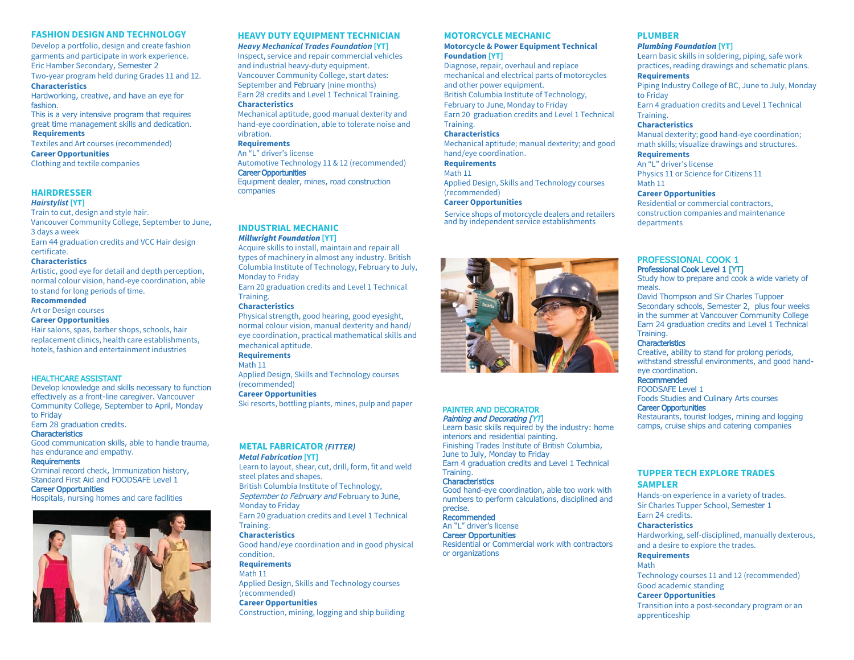### **FASHION DESIGN AND TECHNOLOGY**

 Develop a portfolio, design and create fashion garments and participate in work experience.Eric Hamber Secondary, Semester 2 Two-year program held during Grades 11 and 12.**Characteristics**

 Hardworking, creative, and have an eye for fashion.

 This is a very intensive program that requires great time management skills and dedication.**Requirements**

Textiles and Art courses (recommended)

**Career Opportunities**Clothing and textile companies

# **HAIRDRESSER**

#### *Hairstylist* **[YT]**

 Train to cut, design and style hair. Vancouver Community College, September to June, 3 days a week

 Earn 44 graduation credits and VCC Hair design certificate.

### **Characteristics**

 Artistic, good eye for detail and depth perception, normal colour vision, hand-eye coordination, able to stand for long periods of time.

#### **Recommended**

Art or Design courses

#### **Career Opportunities**

 Hair salons, spas, barber shops, schools, hair replacement clinics, health care establishments, hotels, fashion and entertainment industries

#### HEALTHCARE ASSISTANT

 Develop knowledge and skills necessary to function effectively as <sup>a</sup> front-line caregiver. Vancouver Community College, September to April, Monday to Friday

Earn 28 graduation credits.

# **Characteristics**

 Good communication skills, able to handle trauma, has endurance and empathy.

#### **Requirements**

 Criminal record check, Immunization history, Standard First Aid and FOODSAFE Level <sup>1</sup>

Career Opportunities

Hospitals, nursing homes and care facilities

![](_page_2_Picture_25.jpeg)

# **HEAVY DUTY EQUIPMENT TECHNICIAN**

*Heavy Mechanical Trades Foundation* **[YT]** Inspect, service and repair commercial vehicles and industrial heavy-duty equipment. Vancouver Community College, start dates: September and February (nine months) Earn 28 credits and Level 1 Technical Training.

# **Characteristics**

 Mechanical aptitude, good manual dexterity and hand-eye coordination, able to tolerate noise and vibration.

#### **Requirements**

An "L" driver's license Automotive Technology 11 & 12 (recommended)Career Opportunities Equipment dealer, mines, road construction companies

**INDUSTRIAL MECHANIC** *Millwright Foundation* **[YT]**

 Acquire skills to install, maintain and repair all types of machinery in almost any industry. British Columbia Institute of Technology, February to July, Monday to FridayEarn 20 graduation credits and Level 1 Technical

Training.

# **Characteristics**

 Physical strength, good hearing, good eyesight, normal colour vision, manual dexterity and hand/ eye coordination, practical mathematical skills and mechanical aptitude.

**Requirements**

Math 11 Applied Design, Skills and Technology courses (recommended)

 **Career Opportunities**Ski resorts, bottling plants, mines, pulp and paper

#### **METAL FABRICATOR** *(FITTER) Metal Fabrication* **[YT]**

 Learn to layout, shear, cut, drill, form, fit and weld steel plates and shapes.

British Columbia Institute of Technology.

September to February and February to June, Monday to Friday

 Earn 20 graduation credits and Level 1 Technical Training.

#### **Characteristics**

 Good hand/eye coordination and in good physical condition.

# **Requirements**

Math 11 Applied Design, Skills and Technology courses (recommended) **Career Opportunities**Construction, mining, logging and ship building

#### **MOTORCYCLE MECHANIC**

#### **Motorcycle & Power Equipment Technical Foundation [YT]**

 Diagnose, repair, overhaul and replace mechanical and electrical parts of motorcycles and other power equipment. British Columbia Institute of Technology, February to June, Monday to Friday Earn 20 graduation credits and Level 1 Technical Training.

#### **Characteristics**

 Mechanical aptitude; manual dexterity; and good hand/eye coordination.

### **Requirements**

Math 11

 Applied Design, Skills and Technology courses (recommended)

#### **Career Opportunities**

Service shops of motorcycle dealers and retailers and by independent service establishments

![](_page_2_Picture_59.jpeg)

### PAINTER AND DECORATORPainting and Decorating [YT]

 Learn basic skills required by the industry: home interiors and residential painting. Finishing Trades Institute of British Columbia, June to July, Monday to Friday Earn 4 graduation credits and Level 1 Technical Training.

#### Characteristics

 Good hand-eye coordination, able too work with numbers to perform calculations, disciplined and precise.

#### Recommended

 An "L" driver's licenseCareer Opportunities

 Residential or Commercial work with contractors or organizations

### **PLUMBER**

#### *Plumbing Foundation* **[YT]**

 Learn basic skills in soldering, piping, safe work practices, reading drawings and schematic plans.**Requirements** Piping Industry College of BC, June to July, Monday to Friday Earn 4 graduation credits and Level 1 Technical Training.

#### **Characteristics**

 Manual dexterity; good hand-eye coordination; math skills; visualize drawings and structures.

# **Requirements**

 An "L" driver's license Physics 11 or Science for Citizens 11Math 11

#### **Career Opportunities**

 Residential or commercial contractors, construction companies and maintenance departments

### PROFESSIONAL COOK 1Professional Cook Level 1 [YT]

 Study how to prepare and cook <sup>a</sup> wide variety of meals.

 David Thompson and Sir Charles Tuppoer Secondary schools, Semester 2, plus four weeks in the summer at Vancouver Community College Earn <sup>24</sup> graduation <sup>c</sup>redits and Level <sup>1</sup> Technical Training.

#### **Characteristics**

**Characteristics**<br>Creative, ability to stand for prolong periods, withstand stressful environments, and good handeye coordination.

# Recommended

FOODSAFE Level <sup>1</sup>

Foods Studies and Culinary Arts courses

**Career Opportunities**<br>Restaurants, tourist lodges, mining and logging camps, cruise ships and catering companies

# **TUPPER TECH EXPLORE TRADES SAMPLER**

 Hands-on experience in a variety of trades.Sir Charles Tupper School, Semester 1Earn 24 credits.

#### **Characteristics**

 Hardworking, self-disciplined, manually dexterous, and a desire to explore the trades.

# **Requirements**

Math Technology courses 11 and 12 (recommended) Good academic standing

#### **Career Opportunities**

 Transition into a post-secondary program or an apprenticeship